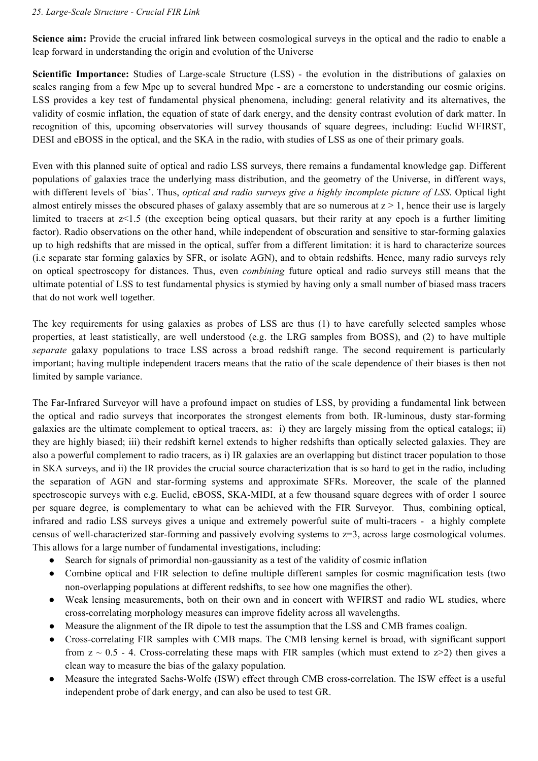## *25. Large-Scale Structure - Crucial FIR Link*

**Science aim:** Provide the crucial infrared link between cosmological surveys in the optical and the radio to enable a leap forward in understanding the origin and evolution of the Universe

**Scientific Importance:** Studies of Large-scale Structure (LSS) - the evolution in the distributions of galaxies on scales ranging from a few Mpc up to several hundred Mpc - are a cornerstone to understanding our cosmic origins. LSS provides a key test of fundamental physical phenomena, including: general relativity and its alternatives, the validity of cosmic inflation, the equation of state of dark energy, and the density contrast evolution of dark matter. In recognition of this, upcoming observatories will survey thousands of square degrees, including: Euclid WFIRST, DESI and eBOSS in the optical, and the SKA in the radio, with studies of LSS as one of their primary goals.

Even with this planned suite of optical and radio LSS surveys, there remains a fundamental knowledge gap. Different populations of galaxies trace the underlying mass distribution, and the geometry of the Universe, in different ways, with different levels of `bias'. Thus, *optical and radio surveys give a highly incomplete picture of LSS*. Optical light almost entirely misses the obscured phases of galaxy assembly that are so numerous at  $z > 1$ , hence their use is largely limited to tracers at z<1.5 (the exception being optical quasars, but their rarity at any epoch is a further limiting factor). Radio observations on the other hand, while independent of obscuration and sensitive to star-forming galaxies up to high redshifts that are missed in the optical, suffer from a different limitation: it is hard to characterize sources (i.e separate star forming galaxies by SFR, or isolate AGN), and to obtain redshifts. Hence, many radio surveys rely on optical spectroscopy for distances. Thus, even *combining* future optical and radio surveys still means that the ultimate potential of LSS to test fundamental physics is stymied by having only a small number of biased mass tracers that do not work well together.

The key requirements for using galaxies as probes of LSS are thus (1) to have carefully selected samples whose properties, at least statistically, are well understood (e.g. the LRG samples from BOSS), and (2) to have multiple *separate* galaxy populations to trace LSS across a broad redshift range. The second requirement is particularly important; having multiple independent tracers means that the ratio of the scale dependence of their biases is then not limited by sample variance.

The Far-Infrared Surveyor will have a profound impact on studies of LSS, by providing a fundamental link between the optical and radio surveys that incorporates the strongest elements from both. IR-luminous, dusty star-forming galaxies are the ultimate complement to optical tracers, as: i) they are largely missing from the optical catalogs; ii) they are highly biased; iii) their redshift kernel extends to higher redshifts than optically selected galaxies. They are also a powerful complement to radio tracers, as i) IR galaxies are an overlapping but distinct tracer population to those in SKA surveys, and ii) the IR provides the crucial source characterization that is so hard to get in the radio, including the separation of AGN and star-forming systems and approximate SFRs. Moreover, the scale of the planned spectroscopic surveys with e.g. Euclid, eBOSS, SKA-MIDI, at a few thousand square degrees with of order 1 source per square degree, is complementary to what can be achieved with the FIR Surveyor. Thus, combining optical, infrared and radio LSS surveys gives a unique and extremely powerful suite of multi-tracers - a highly complete census of well-characterized star-forming and passively evolving systems to z=3, across large cosmological volumes. This allows for a large number of fundamental investigations, including:

- Search for signals of primordial non-gaussianity as a test of the validity of cosmic inflation
- Combine optical and FIR selection to define multiple different samples for cosmic magnification tests (two non-overlapping populations at different redshifts, to see how one magnifies the other).
- Weak lensing measurements, both on their own and in concert with WFIRST and radio WL studies, where cross-correlating morphology measures can improve fidelity across all wavelengths.
- Measure the alignment of the IR dipole to test the assumption that the LSS and CMB frames coalign.
- Cross-correlating FIR samples with CMB maps. The CMB lensing kernel is broad, with significant support from  $z \sim 0.5$  - 4. Cross-correlating these maps with FIR samples (which must extend to  $z \ge 2$ ) then gives a clean way to measure the bias of the galaxy population.
- Measure the integrated Sachs-Wolfe (ISW) effect through CMB cross-correlation. The ISW effect is a useful independent probe of dark energy, and can also be used to test GR.